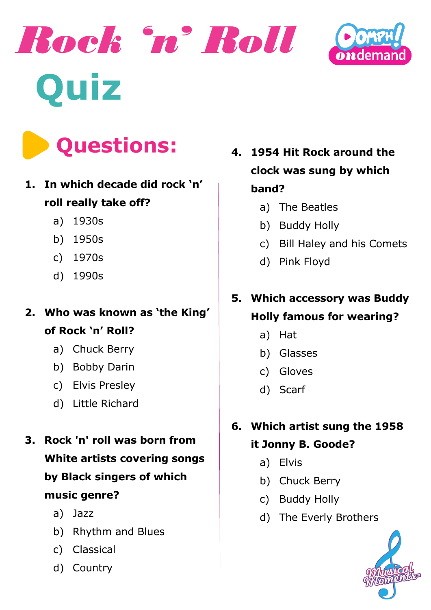





### **1. In which decade did rock 'n' roll really take off?**

- a) 1930s
- b) 1950s
- c) 1970s
- d) 1990s

**2. Who was known as 'the King' of Rock 'n' Roll?**

- a) Chuck Berry
- b) Bobby Darin
- c) Elvis Presley
- d) Little Richard
- **3. Rock 'n' roll was born from White artists covering songs by Black singers of which music genre?**
	- a) Jazz
	- b) Rhythm and Blues
	- c) Classical
	- d) Country

**4. 1954 Hit Rock around the clock was sung by which band?**

- a) The Beatles
- b) Buddy Holly
- c) Bill Haley and his Comets
- d) Pink Floyd

# **5. Which accessory was Buddy**

#### **Holly famous for wearing?**

- a) Hat
- b) Glasses
- c) Gloves
- d) Scarf

## **6. Which artist sung the 1958**

#### **it Jonny B. Goode?**

- a) Elvis
- b) Chuck Berry
- c) Buddy Holly
- d) The Everly Brothers

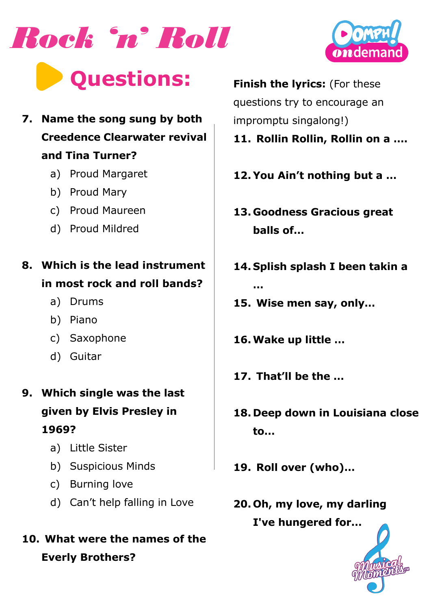



- **7. Name the song sung by both Creedence Clearwater revival and Tina Turner?**
	- a) Proud Margaret
	- b) Proud Mary
	- c) Proud Maureen
	- d) Proud Mildred
- **8. Which is the lead instrument in most rock and roll bands?**
	- a) Drums
	- b) Piano
	- c) Saxophone
	- d) Guitar
- **9. Which single was the last given by Elvis Presley in 1969?**
	- a) Little Sister
	- b) Suspicious Minds
	- c) Burning love
	- d) Can't help falling in Love
- **10. What were the names of the Everly Brothers?**

**Finish the lyrics:** (For these questions try to encourage an impromptu singalong!)

- **11. Rollin Rollin, Rollin on a ….**
- **12. You Ain't nothing but a …**
- **13. Goodness Gracious great balls of…**
- **14. Splish splash I been takin a …**
- **15. Wise men say, only…**
- **16.Wake up little …**
- **17. That'll be the …**
- **18. Deep down in Louisiana close to…**
- **19. Roll over (who)…**
- **20. Oh, my love, my darling I've hungered for…**



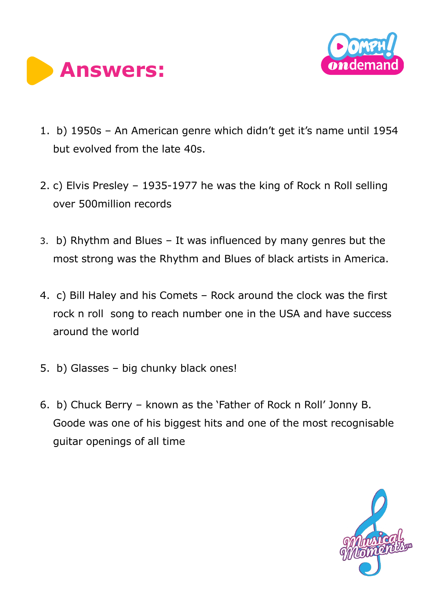



- 1. b) 1950s An American genre which didn't get it's name until 1954 but evolved from the late 40s.
- 2. c) Elvis Presley 1935-1977 he was the king of Rock n Roll selling over 500million records
- 3. b) Rhythm and Blues It was influenced by many genres but the most strong was the Rhythm and Blues of black artists in America.
- 4. c) Bill Haley and his Comets Rock around the clock was the first rock n roll song to reach number one in the USA and have success around the world
- 5. b) Glasses big chunky black ones!
- 6. b) Chuck Berry known as the 'Father of Rock n Roll' Jonny B. Goode was one of his biggest hits and one of the most recognisable guitar openings of all time

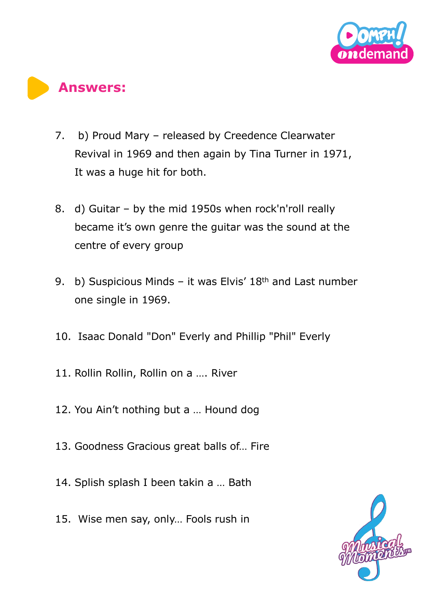



- 7. b) Proud Mary released by Creedence Clearwater Revival in 1969 and then again by Tina Turner in 1971, It was a huge hit for both.
- 8. d) Guitar by the mid 1950s when rock'n'roll really became it's own genre the guitar was the sound at the centre of every group
- 9. b) Suspicious Minds it was Elvis' 18<sup>th</sup> and Last number one single in 1969.
- 10. Isaac Donald "Don" Everly and Phillip "Phil" Everly
- 11. Rollin Rollin, Rollin on a …. River
- 12. You Ain't nothing but a … Hound dog
- 13. Goodness Gracious great balls of… Fire
- 14. Splish splash I been takin a … Bath
- 15. Wise men say, only… Fools rush in